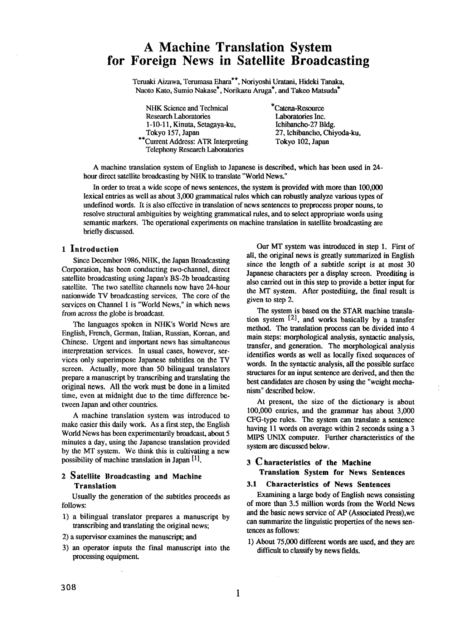# **A Machine Translation System for Foreign News in Satellite Broadcasting**

Teruaki Aizawa, Terumasa Ehara\*\*, Noriyoshi Uratani, Hideki Tanaka, Naoto Kato, Sumio Nakase\*, Norikazu Aruga\*, and Takeo Matsuda\*

NHK Science and Technical Research Laboratories 1-10-11, Kinuta, Setagaya-ku, Tokyo 157, Japan

\*\*Current Address: ATR Interpreting Telephony Research Laboratories

\*Catena-Resource Laboratories Inc. Ichibancho-27 Bldg. 27, Ichibancho, Chiyoda-ku, Tokyo 102, Japan

A machine translation system of English to Japanese is described, which has been used in 24 hour direct satellite broadcasting by NHK to translate "World News."

In order to treat a wide scope of news sentences, the system is provided with more than I00,000 lexical entries as well as about 3,000 grammatical rules which can robustly analyze various types of undefined words. It is also effective in translation of news sentences to preprocess proper nouns, to resolve structural ambiguities by weighting grammatical rules, and to select appropriate words using semantic markers. The operational experiments on machine translation in satellite broadcasting are briefly discussed.

# **1 Introduction**

Since December 1986, NHK, the Japan Broadcasting Corporation, has been conducting two-channel, direct satellite broadcasting using Japan's BS-2b broadcasting satellite. The two satellite channels now have 24-hour nationwide TV broadcasting services. The core of the services on Channel I is "World News," in which news from across the globe is broadcast.

The languages spoken in NHK's World News are English, French, German, Italian, Russian, Korean, and Chinese. Urgent and important news has simultaneous interpretation services. In usual cases, however, services only superimpose Japanese subtitles on the TV screen. Actually, more than 50 bilingual translators prepare a manuscript by transcribing and translating the original news. All the work must be done in a limited time, even at midnight due to the time difference between Japan and other countries.

A machine translation system was introduced to make easier this daily work. As a first step, the English World News has been experimentarily broadcast, about 5 minutes a day, using the Japanese translation provided by the MT system. We think this is cultivating a new possibility of machine translation in Japan [1].

## 2 **Satellite Broadcasting and Machine Translation**

Usually the generation of the subtitles proceeds as follows:

- 1) a bilingual translator prepares a manuscript by transcribing and translating the original news;
- 2) a supervisor examines the manuscript; and
- 3) an operator inputs the final manuscript into the processing equipment.

Our MT system was introduced in step 1, First of all, the original news is greatly summarized in English since the length of a subtitle script is at most 30 Japanese characters per a display screen. Preediting is also carried out in this step to provide a better input for the MT system. After postediting, the final result is given to step 2.

The system is based on the STAR machine translation system [2], and works basically by a transfer method. The translation process can be divided into 4 main steps: morphological analysis, syntactic analysis, transfer, and generation. The morphological analysis identifies words as well as locally fixed sequences of words. In the syntactic analysis, all the possible surface structures for an input sentence are derived, and then the best candidates are chosen by using the "weight mechanism" described below.

At present, the size of the dictionary is about 100,000 entries, and the grammar has about 3,000 CFG-type rules. The system can translate a sentence having 11 words on average within 2 seconds using a 3 MIPS UNIX computer. Further characteristics of the system are discussed below.

# **3 Characteristics of the Machine Translation System for News Sentences**

#### **3.1 Characteristics of News Sentences**

Examining a large body of English news consisting of more than 3.5 million words from the World News and the basic news service of AP (Associated Press),we can summarize the linguistic properties of the news sentences as follows:

I) About 75,000 different words are used, and they are difficult to classify by news fields.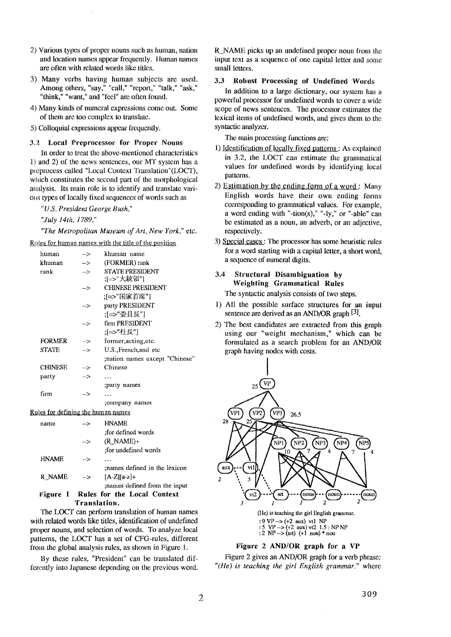- 2) Various types of proper nouns such as human, nation and location names appear frequently. Human names are often with related words like titles.
- 3) Many verbs having human subjects are used. Among others, "say," "call," "report," "talk," "ask," "think," "want," and "feel" are often found.
- 4) Many kinds of numeral expressions come out. Some of them are too complex to translate.
- 51) Colloquial expressions appear frequently.

#### 3.2 Local Preprocessor for Proper Nouns

In order to treat the above-mentioned characteristics 1) and 2) of the news sentences, our MT system has a preprocess called "Local Context Translation"(LOC~I), which constitutes the second part of the morphological analysis. Its main role is to identify and translate various types of locally fixed sequences of words such as

*"U.S. President George Bush,"* 

*"July 14th, 1789,"* 

*"The Metropolitan Museum of Art, New York,"* etc.

Rules for human names with the title of the position

|                                    | human          | $-5$          | khuman name                   |
|------------------------------------|----------------|---------------|-------------------------------|
|                                    | khuman         | $\rightarrow$ | (FORMER) rank                 |
|                                    | rank           | $\rightarrow$ | <b>STATE PRESIDENT</b>        |
|                                    |                |               | ;[=>"大統領"]                    |
|                                    |                | -->           | <b>CHINESE PRESIDENT</b>      |
|                                    |                |               | ;[=>"国家首席"]                   |
|                                    |                | -->           | party PRESIDENT               |
|                                    |                |               | ;[=>"委員長"]                    |
|                                    |                | -->           | firm PRESIDENT                |
|                                    |                |               | :[=>"社長"]                     |
|                                    | <b>FORMER</b>  | -->           | former, acting, etc.          |
|                                    | <b>STATE</b>   | $-5$          | U.S., French, and etc         |
|                                    |                |               | mation names except "Chinese" |
|                                    | <b>CHINESE</b> | -->           | Chinese                       |
|                                    | party          | $-5$          | .                             |
|                                    |                |               | ;party names                  |
|                                    | firm           | $\rightarrow$ | .                             |
|                                    |                |               | ;company names                |
| Rules for defining the human names |                |               |                               |
|                                    | name           | -->           | <b>HNAME</b>                  |
|                                    |                |               | :for defined words            |
|                                    |                | -->           | $(R_NAME)$ +                  |
|                                    |                |               | :for undefined words          |
|                                    | <b>HNAME</b>   | -->           | .                             |
|                                    |                |               | mames defined in the lexicon  |
|                                    | R NAME         | -- >          | $[A-Z][a-z]+$                 |
|                                    |                |               | mames defined from the input: |

# Figure **1 Rules for the Local Context**  Translation.

The LOCT can perform translation of human names with related words like titles, identification of undefined proper nouns, and selection of words. To analyze local patterns, the LOCT has a set of CFG-rules, different from the global analysis rules, as shown in Figure 1.

By these rules, "President" can be translated differently into Japanese depending on the previous word, R NAME picks up an undefined proper noun from the input text as a sequence of one capital letter and some small letters.

## 3.3 **Robust Processing of Undefined** Words

In addition to a large dictionary, our system has a powerful processor tor undefined words to cover a wide scope of news sentences. The processor estimates the lexical items of undefined words, and gives them to the syntactic analyzer.

The main processing functions are:

- 1) Identification of locally fixed patterns : As explained in 3.2, the LOCT can estimate the grammatical values for undefined words by identifying local patterns.
- 2) Estimation by the ending form of a word: Many English words have their own ending forms corresponding to grammatical values. For example, a word ending with "-tion(s)," "-ly," or "-able" can be estimated as a noun, an adverb, or an adjective, respectively.
- 3) Special cases: The processor has some heuristic rules for a word starting with a capital letter, a short word, a sequence of numeral digits.
- **3.4 Structural Disambignation by Weighting** Grammatical Rules

The syntactic analysis consists of two steps.

- 1) All the possible surface structures for an input sentence are derived as an AND/OR graph <sup>[3]</sup>.
- 2) The best candidates are extracted from this graph using our "weight mechanism," which can be formulated as a search problem for an AND/OR graph having nodes with costs.



# **Figure 2 AND/OR graph for a VP**

**Figure 2 gives an AND/OR graph for a verb phrase:**  *"(lie) is teaching the girl English grammar."* **where**